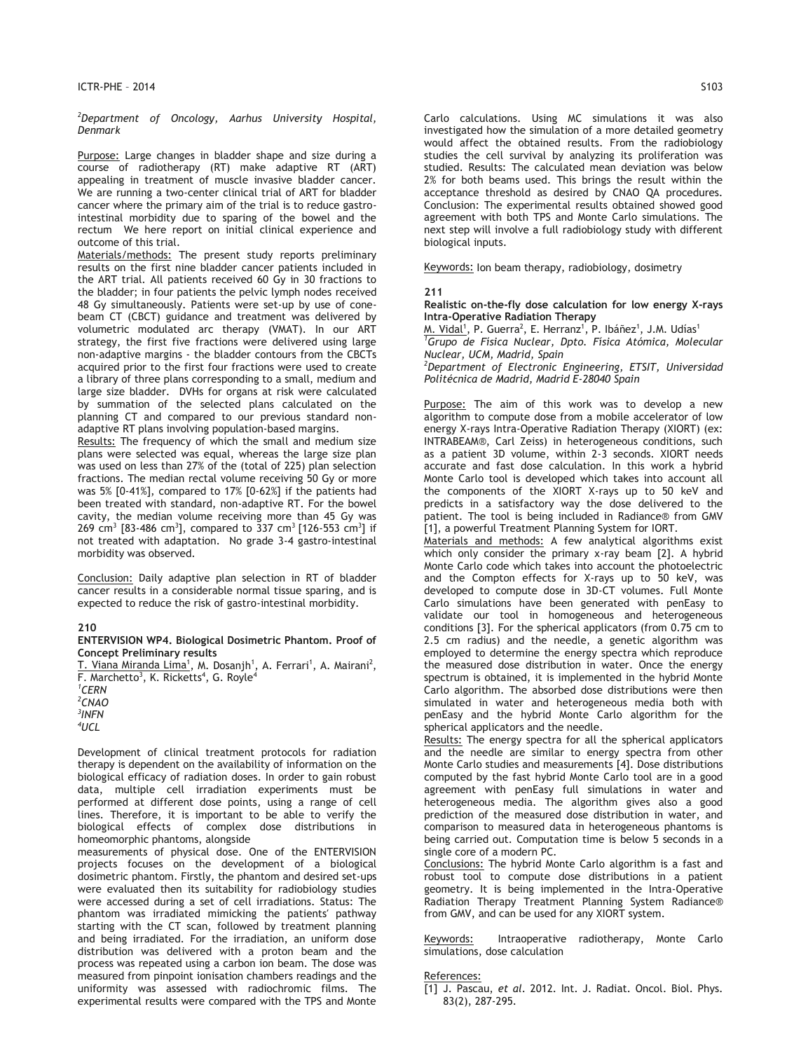*2 Department of Oncology, Aarhus University Hospital, Denmark* 

Purpose: Large changes in bladder shape and size during a course of radiotherapy (RT) make adaptive RT (ART) appealing in treatment of muscle invasive bladder cancer. We are running a two-center clinical trial of ART for bladder cancer where the primary aim of the trial is to reduce gastrointestinal morbidity due to sparing of the bowel and the rectum We here report on initial clinical experience and outcome of this trial.

Materials/methods: The present study reports preliminary results on the first nine bladder cancer patients included in the ART trial. All patients received 60 Gy in 30 fractions to the bladder; in four patients the pelvic lymph nodes received 48 Gy simultaneously. Patients were set-up by use of conebeam CT (CBCT) guidance and treatment was delivered by volumetric modulated arc therapy (VMAT). In our ART strategy, the first five fractions were delivered using large non-adaptive margins - the bladder contours from the CBCTs acquired prior to the first four fractions were used to create a library of three plans corresponding to a small, medium and large size bladder. DVHs for organs at risk were calculated by summation of the selected plans calculated on the planning CT and compared to our previous standard nonadaptive RT plans involving population-based margins.

Results: The frequency of which the small and medium size plans were selected was equal, whereas the large size plan was used on less than 27% of the (total of 225) plan selection fractions. The median rectal volume receiving 50 Gy or more was 5% [0-41%], compared to 17% [0-62%] if the patients had been treated with standard, non-adaptive RT. For the bowel cavity, the median volume receiving more than 45 Gy was 269 cm $^3$  [83-486 cm $^3$ ], compared to 337 cm $^3$  [126-553 cm $^3$ ] if not treated with adaptation. No grade 3-4 gastro-intestinal morbidity was observed.

Conclusion: Daily adaptive plan selection in RT of bladder cancer results in a considerable normal tissue sparing, and is expected to reduce the risk of gastro-intestinal morbidity.

# **210**

#### **ENTERVISION WP4. Biological Dosimetric Phantom. Proof of Concept Preliminary results**

<u>T. Viana Miranda Lima<sup>1</sup>,</u> M. Dosanjh<sup>1</sup>, A. Ferrari<sup>1</sup>, A. Mairani<sup>2</sup>, F. Marchetto<sup>3</sup>, K. Ricketts<sup>4</sup>, G. Royle<sup>4</sup> *1 CERN 2 CNAO 3 INFN 4 UCL*

Development of clinical treatment protocols for radiation therapy is dependent on the availability of information on the biological efficacy of radiation doses. In order to gain robust data, multiple cell irradiation experiments must be performed at different dose points, using a range of cell lines. Therefore, it is important to be able to verify the biological effects of complex dose distributions in homeomorphic phantoms, alongside

measurements of physical dose. One of the ENTERVISION projects focuses on the development of a biological dosimetric phantom. Firstly, the phantom and desired set-ups were evaluated then its suitability for radiobiology studies were accessed during a set of cell irradiations. Status: The phantom was irradiated mimicking the patients′ pathway starting with the CT scan, followed by treatment planning and being irradiated. For the irradiation, an uniform dose distribution was delivered with a proton beam and the process was repeated using a carbon ion beam. The dose was measured from pinpoint ionisation chambers readings and the uniformity was assessed with radiochromic films. The experimental results were compared with the TPS and Monte

Carlo calculations. Using MC simulations it was also investigated how the simulation of a more detailed geometry would affect the obtained results. From the radiobiology studies the cell survival by analyzing its proliferation was studied. Results: The calculated mean deviation was below 2% for both beams used. This brings the result within the acceptance threshold as desired by CNAO QA procedures. Conclusion: The experimental results obtained showed good agreement with both TPS and Monte Carlo simulations. The next step will involve a full radiobiology study with different biological inputs.

Keywords: Ion beam therapy, radiobiology, dosimetry

#### **211**

**Realistic on-the-fly dose calculation for low energy X-rays Intra-Operative Radiation Therapy**

M. Vidal<sup>1</sup>, P. Guerra<sup>2</sup>, E. Herranz<sup>1</sup>, P. Ibáñez<sup>1</sup>, J.M. Udías<sup>1</sup> *1 Grupo de Física Nuclear, Dpto. Física Atómica, Molecular Nuclear, UCM, Madrid, Spain*

*2 Department of Electronic Engineering, ETSIT, Universidad Politécnica de Madrid, Madrid E-28040 Spain* 

Purpose: The aim of this work was to develop a new algorithm to compute dose from a mobile accelerator of low energy X-rays Intra-Operative Radiation Therapy (XIORT) (ex: INTRABEAM®, Carl Zeiss) in heterogeneous conditions, such as a patient 3D volume, within 2-3 seconds. XIORT needs accurate and fast dose calculation. In this work a hybrid Monte Carlo tool is developed which takes into account all the components of the XIORT X-rays up to 50 keV and predicts in a satisfactory way the dose delivered to the patient. The tool is being included in Radiance® from GMV [1], a powerful Treatment Planning System for IORT.

Materials and methods: A few analytical algorithms exist which only consider the primary x-ray beam [2]. A hybrid Monte Carlo code which takes into account the photoelectric and the Compton effects for X-rays up to 50 keV, was developed to compute dose in 3D-CT volumes. Full Monte Carlo simulations have been generated with penEasy to validate our tool in homogeneous and heterogeneous conditions [3]. For the spherical applicators (from 0.75 cm to 2.5 cm radius) and the needle, a genetic algorithm was employed to determine the energy spectra which reproduce the measured dose distribution in water. Once the energy spectrum is obtained, it is implemented in the hybrid Monte Carlo algorithm. The absorbed dose distributions were then simulated in water and heterogeneous media both with penEasy and the hybrid Monte Carlo algorithm for the spherical applicators and the needle.

Results: The energy spectra for all the spherical applicators and the needle are similar to energy spectra from other Monte Carlo studies and measurements [4]. Dose distributions computed by the fast hybrid Monte Carlo tool are in a good agreement with penEasy full simulations in water and heterogeneous media. The algorithm gives also a good prediction of the measured dose distribution in water, and comparison to measured data in heterogeneous phantoms is being carried out. Computation time is below 5 seconds in a single core of a modern PC.

Conclusions: The hybrid Monte Carlo algorithm is a fast and robust tool to compute dose distributions in a patient geometry. It is being implemented in the Intra-Operative Radiation Therapy Treatment Planning System Radiance® from GMV, and can be used for any XIORT system.

Keywords: Intraoperative radiotherapy, Monte Carlo simulations, dose calculation

# References:

<sup>[1]</sup> J. Pascau, *et al*. 2012. Int. J. Radiat. Oncol. Biol. Phys. 83(2), 287-295.